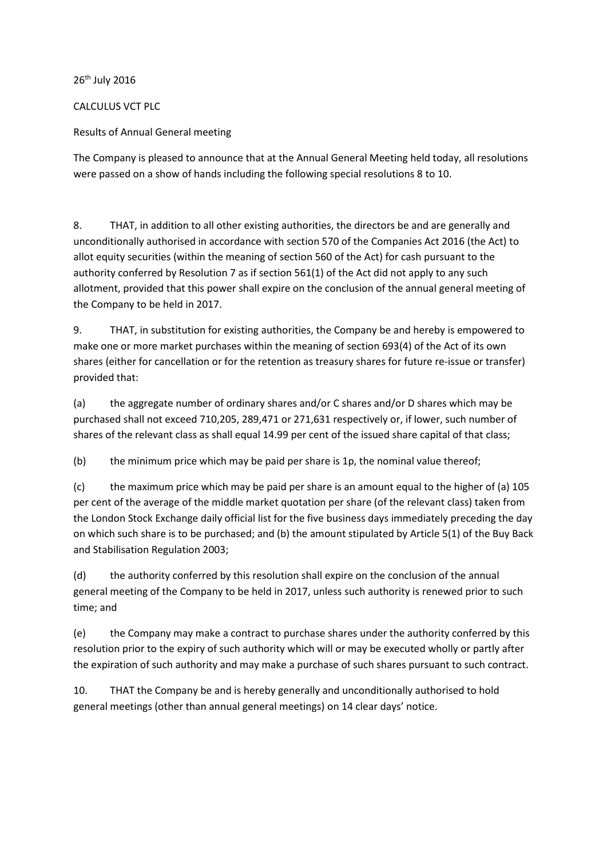26<sup>th</sup> July 2016

CALCULUS VCT PLC

Results of Annual General meeting

The Company is pleased to announce that at the Annual General Meeting held today, all resolutions were passed on a show of hands including the following special resolutions 8 to 10.

8. THAT, in addition to all other existing authorities, the directors be and are generally and unconditionally authorised in accordance with section 570 of the Companies Act 2016 (the Act) to allot equity securities (within the meaning of section 560 of the Act) for cash pursuant to the authority conferred by Resolution 7 as if section 561(1) of the Act did not apply to any such allotment, provided that this power shall expire on the conclusion of the annual general meeting of the Company to be held in 2017.

9. THAT, in substitution for existing authorities, the Company be and hereby is empowered to make one or more market purchases within the meaning of section 693(4) of the Act of its own shares (either for cancellation or for the retention as treasury shares for future re-issue or transfer) provided that:

(a) the aggregate number of ordinary shares and/or C shares and/or D shares which may be purchased shall not exceed 710,205, 289,471 or 271,631 respectively or, if lower, such number of shares of the relevant class as shall equal 14.99 per cent of the issued share capital of that class;

(b) the minimum price which may be paid per share is 1p, the nominal value thereof;

(c) the maximum price which may be paid per share is an amount equal to the higher of (a) 105 per cent of the average of the middle market quotation per share (of the relevant class) taken from the London Stock Exchange daily official list for the five business days immediately preceding the day on which such share is to be purchased; and (b) the amount stipulated by Article 5(1) of the Buy Back and Stabilisation Regulation 2003;

(d) the authority conferred by this resolution shall expire on the conclusion of the annual general meeting of the Company to be held in 2017, unless such authority is renewed prior to such time; and

(e) the Company may make a contract to purchase shares under the authority conferred by this resolution prior to the expiry of such authority which will or may be executed wholly or partly after the expiration of such authority and may make a purchase of such shares pursuant to such contract.

10. THAT the Company be and is hereby generally and unconditionally authorised to hold general meetings (other than annual general meetings) on 14 clear days' notice.